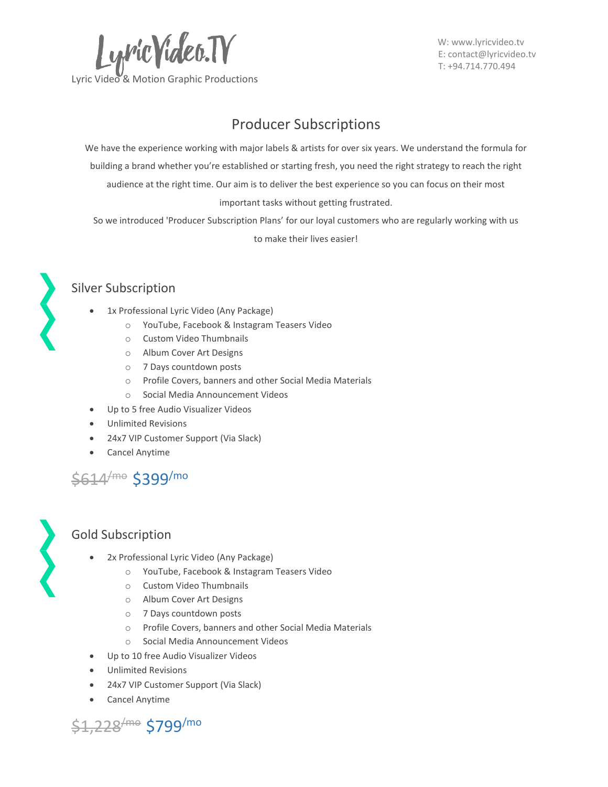

 W[: www.lyricvideo.tv](http://www.lyricvideo.tv/) E[: contact@lyricvideo.tv](mailto:contact@lyricvideo.tv) T: +94.714.770.494

# Producer Subscriptions

We have the experience working with major labels & artists for over six years. We understand the formula for building a brand whether you're established or starting fresh, you need the right strategy to reach the right audience at the right time. Our aim is to deliver the best experience so you can focus on their most important tasks without getting frustrated.

So we introduced 'Producer Subscription Plans' for our loyal customers who are regularly working with us to make their lives easier!



### Silver Subscription

- 1x Professional Lyric Video (Any Package)
	- o YouTube, Facebook & Instagram Teasers Video
	- o Custom Video Thumbnails
	- o Album Cover Art Designs
	- o 7 Days countdown posts
	- o Profile Covers, banners and other Social Media Materials
	- o Social Media Announcement Videos
- Up to 5 free Audio Visualizer Videos
- Unlimited Revisions
- 24x7 VIP Customer Support (Via Slack)
- Cancel Anytime





- 2x Professional Lyric Video (Any Package)
	- o YouTube, Facebook & Instagram Teasers Video
	- o Custom Video Thumbnails
	- o Album Cover Art Designs
	- o 7 Days countdown posts
	- o Profile Covers, banners and other Social Media Materials
	- o Social Media Announcement Videos
- Up to 10 free Audio Visualizer Videos
- Unlimited Revisions
- 24x7 VIP Customer Support (Via Slack)
- Cancel Anytime

\$1,228 /mo \$799 /mo